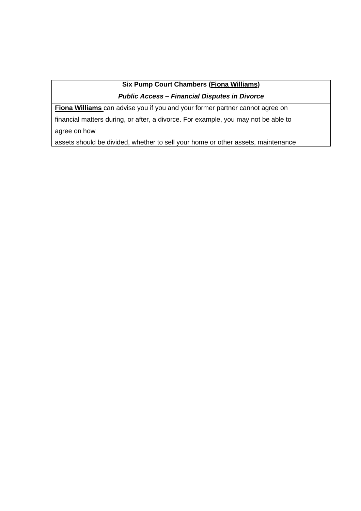# **Six Pump Court Chambers (Fiona Williams)**

## *Public Access – Financial Disputes in Divorce*

**Fiona Williams** can advise you if you and your former partner cannot agree on

financial matters during, or after, a divorce. For example, you may not be able to

agree on how

assets should be divided, whether to sell your home or other assets, maintenance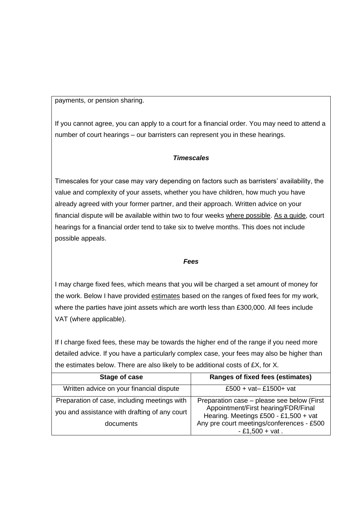payments, or pension sharing.

If you cannot agree, you can apply to a court for a financial order. You may need to attend a number of court hearings – our barristers can represent you in these hearings.

### *Timescales*

Timescales for your case may vary depending on factors such as barristers' availability, the value and complexity of your assets, whether you have children, how much you have already agreed with your former partner, and their approach. Written advice on your financial dispute will be available within two to four weeks where possible. As a guide, court hearings for a financial order tend to take six to twelve months. This does not include possible appeals.

### *Fees*

I may charge fixed fees, which means that you will be charged a set amount of money for the work. Below I have provided estimates based on the ranges of fixed fees for my work, where the parties have joint assets which are worth less than £300,000. All fees include VAT (where applicable).

If I charge fixed fees, these may be towards the higher end of the range if you need more detailed advice. If you have a particularly complex case, your fees may also be higher than the estimates below. There are also likely to be additional costs of £X, for X.

| Stage of case                                 | <b>Ranges of fixed fees (estimates)</b>                                      |
|-----------------------------------------------|------------------------------------------------------------------------------|
| Written advice on your financial dispute      | $£500 + vat - £1500 + vat$                                                   |
| Preparation of case, including meetings with  | Preparation case – please see below (First                                   |
| you and assistance with drafting of any court | Appointment/First hearing/FDR/Final<br>Hearing. Meetings £500 - £1,500 + vat |
| documents                                     | Any pre court meetings/conferences - £500                                    |
|                                               | $-£1,500 + vat.$                                                             |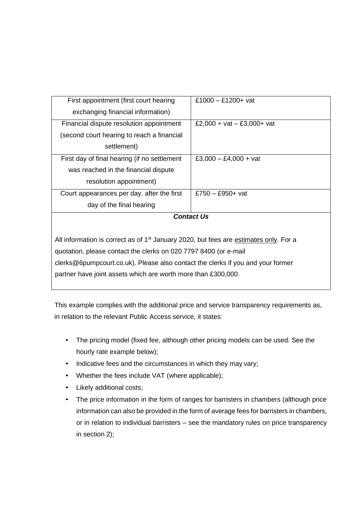| First appointment (first court hearing                                                            | £1000 $-$ £1200+ vat         |  |
|---------------------------------------------------------------------------------------------------|------------------------------|--|
| exchanging financial information)                                                                 |                              |  |
| Financial dispute resolution appointment                                                          | £2,000 + vat $-$ £3,000+ vat |  |
| (second court hearing to reach a financial                                                        |                              |  |
| settlement)                                                                                       |                              |  |
| First day of final hearing (if no settlement                                                      | £3,000 $-$ £4,000 $+$ vat    |  |
| was reached in the financial dispute                                                              |                              |  |
| resolution appointment)                                                                           |                              |  |
| Court appearances per day, after the first                                                        | £750 - £950+ vat             |  |
| day of the final hearing                                                                          |                              |  |
| <b>Contact Us</b>                                                                                 |                              |  |
|                                                                                                   |                              |  |
| All information is correct as of 1 <sup>st</sup> January 2020, but fees are estimates only. For a |                              |  |
| quotation, please contact the clerks on 020 7797 8400 (or e-mail                                  |                              |  |

clerks@6pumpcourt.co.uk). Please also contact the clerks if you and your former partner have joint assets which are worth more than £300,000.

This example complies with the additional price and service transparency requirements as, in relation to the relevant Public Access service, it states:

- The pricing model (fixed fee, although other pricing models can be used. See the hourly rate example below);
- Indicative fees and the circumstances in which they may vary;
- Whether the fees include VAT (where applicable);
- Likely additional costs;
- The price information in the form of ranges for barristers in chambers (although price information can also be provided in the form of average fees for barristers in chambers, or in relation to individual barristers – see the mandatory rules on price transparency in section 2);